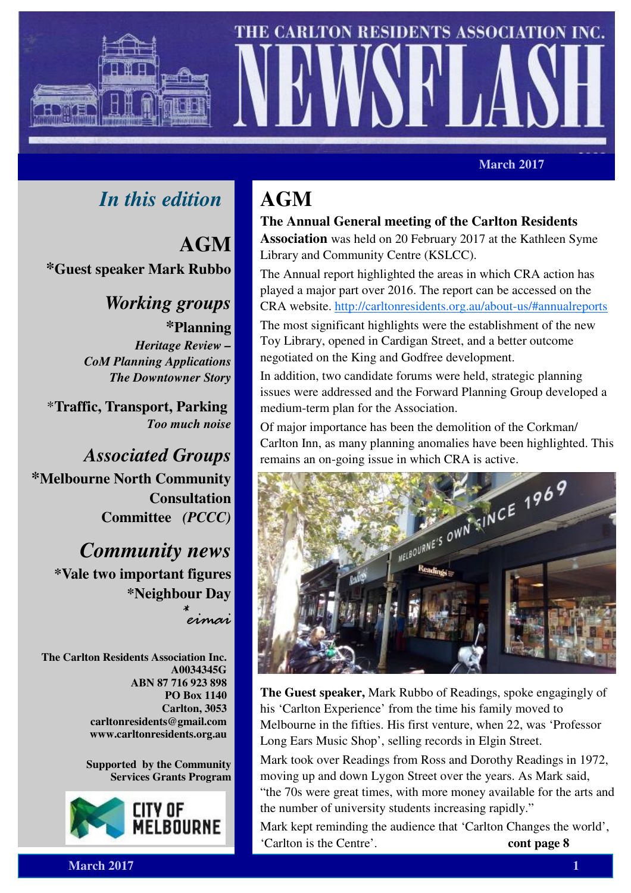



*March 2017* **March 2017** 

# *In this edition*

**AGM \*Guest speaker Mark Rubbo**

> *Working groups*  **\*Planning** *Heritage Review – CoM Planning Applications The Downtowner Story*

\***Traffic, Transport, Parking**  *Too much noise* 

*Associated Groups*  **\*Melbourne North Community Consultation Committee** *(PCCC)*

> *Community news*  **\*Vale two important figures \*Neighbour Day**   $\ddot{\ast}$

eimai

**The Carlton Residents Association Inc. A0034345G ABN 87 716 923 898 PO Box 1140 Carlton, 3053 carltonresidents@gmail.com www.carltonresidents.org.au** 

> **Supported by the Community Services Grants Program**



# **AGM**

**The Annual General meeting of the Carlton Residents Association** was held on 20 February 2017 at the Kathleen Syme Library and Community Centre (KSLCC).

The Annual report highlighted the areas in which CRA action has played a major part over 2016. The report can be accessed on the CRA website. http://carltonresidents.org.au/about-us/#annualreports

The most significant highlights were the establishment of the new Toy Library, opened in Cardigan Street, and a better outcome negotiated on the King and Godfree development.

In addition, two candidate forums were held, strategic planning issues were addressed and the Forward Planning Group developed a medium-term plan for the Association.

Of major importance has been the demolition of the Corkman/ Carlton Inn, as many planning anomalies have been highlighted. This



**The Guest speaker,** Mark Rubbo of Readings, spoke engagingly of his 'Carlton Experience' from the time his family moved to Melbourne in the fifties. His first venture, when 22, was 'Professor Long Ears Music Shop', selling records in Elgin Street.

Mark took over Readings from Ross and Dorothy Readings in 1972, moving up and down Lygon Street over the years. As Mark said, "the 70s were great times, with more money available for the arts and the number of university students increasing rapidly."

Mark kept reminding the audience that 'Carlton Changes the world', 'Carlton is the Centre'. **cont page 8**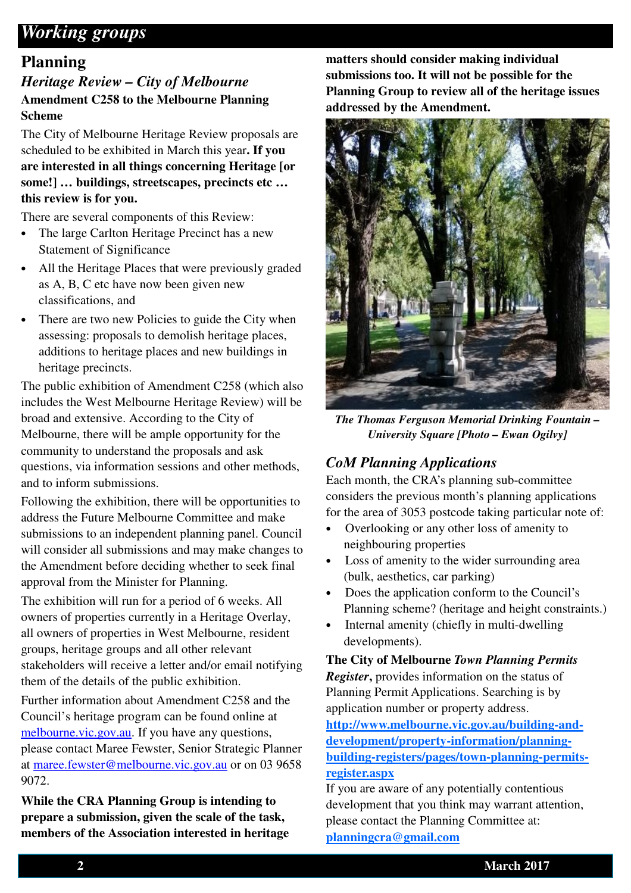## *Working groups*

### **Planning**

### *Heritage Review – City of Melbourne*  **Amendment C258 to the Melbourne Planning Scheme**

The City of Melbourne Heritage Review proposals are scheduled to be exhibited in March this year**. If you are interested in all things concerning Heritage [or some!] … buildings, streetscapes, precincts etc … this review is for you.** 

There are several components of this Review:

- The large Carlton Heritage Precinct has a new Statement of Significance
- All the Heritage Places that were previously graded as A, B, C etc have now been given new classifications, and
- There are two new Policies to guide the City when assessing: proposals to demolish heritage places, additions to heritage places and new buildings in heritage precincts.

The public exhibition of Amendment C258 (which also includes the West Melbourne Heritage Review) will be broad and extensive. According to the City of Melbourne, there will be ample opportunity for the community to understand the proposals and ask questions, via information sessions and other methods, and to inform submissions.

Following the exhibition, there will be opportunities to address the Future Melbourne Committee and make submissions to an independent planning panel. Council will consider all submissions and may make changes to the Amendment before deciding whether to seek final approval from the Minister for Planning.

The exhibition will run for a period of 6 weeks. All owners of properties currently in a Heritage Overlay, all owners of properties in West Melbourne, resident groups, heritage groups and all other relevant stakeholders will receive a letter and/or email notifying them of the details of the public exhibition.

Further information about Amendment C258 and the Council's heritage program can be found online at melbourne.vic.gov.au. If you have any questions, please contact Maree Fewster, Senior Strategic Planner at maree.fewster@melbourne.vic.gov.au or on 03 9658 9072.

**While the CRA Planning Group is intending to prepare a submission, given the scale of the task, members of the Association interested in heritage** 

**matters should consider making individual submissions too. It will not be possible for the Planning Group to review all of the heritage issues addressed by the Amendment.** 



*The Thomas Ferguson Memorial Drinking Fountain – University Square [Photo – Ewan Ogilvy]* 

### *CoM Planning Applications*

Each month, the CRA's planning sub-committee considers the previous month's planning applications for the area of 3053 postcode taking particular note of:

- Overlooking or any other loss of amenity to neighbouring properties
- Loss of amenity to the wider surrounding area (bulk, aesthetics, car parking)
- Does the application conform to the Council's Planning scheme? (heritage and height constraints.)
- Internal amenity (chiefly in multi-dwelling developments).

**The City of Melbourne** *Town Planning Permits Register***,** provides information on the status of Planning Permit Applications. Searching is by

application number or property address. **http://www.melbourne.vic.gov.au/building-anddevelopment/property-information/planning-**

**building-registers/pages/town-planning-permitsregister.aspx**

If you are aware of any potentially contentious development that you think may warrant attention, please contact the Planning Committee at: **planningcra@gmail.com**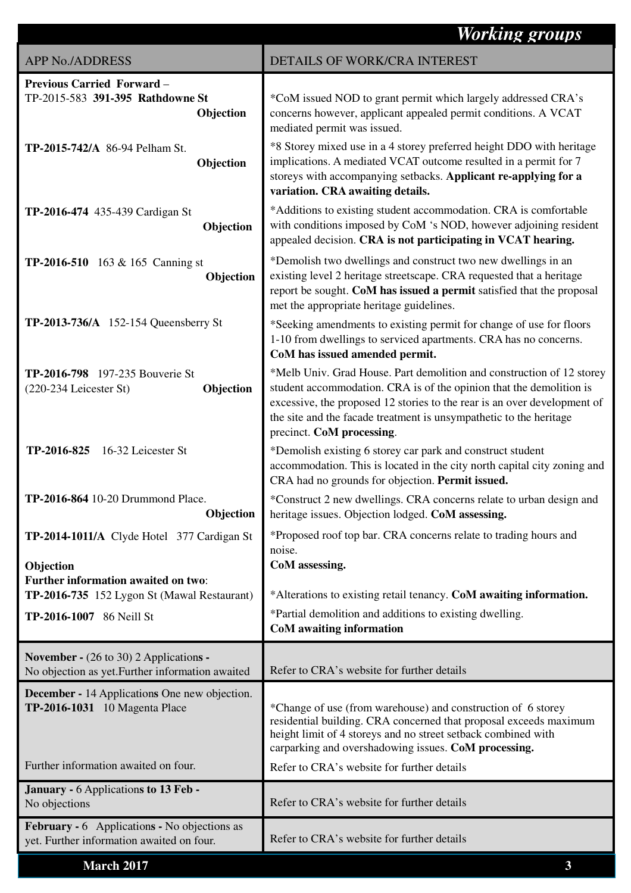|                                                                                                   | <b>Working groups</b>                                                                                                                                                                                                                                                                                                       |
|---------------------------------------------------------------------------------------------------|-----------------------------------------------------------------------------------------------------------------------------------------------------------------------------------------------------------------------------------------------------------------------------------------------------------------------------|
| <b>APP No./ADDRESS</b>                                                                            | DETAILS OF WORK/CRA INTEREST                                                                                                                                                                                                                                                                                                |
| <b>Previous Carried Forward -</b><br>TP-2015-583 391-395 Rathdowne St<br>Objection                | *CoM issued NOD to grant permit which largely addressed CRA's<br>concerns however, applicant appealed permit conditions. A VCAT<br>mediated permit was issued.                                                                                                                                                              |
| TP-2015-742/A 86-94 Pelham St.<br>Objection                                                       | *8 Storey mixed use in a 4 storey preferred height DDO with heritage<br>implications. A mediated VCAT outcome resulted in a permit for 7<br>storeys with accompanying setbacks. Applicant re-applying for a<br>variation. CRA awaiting details.                                                                             |
| <b>TP-2016-474</b> 435-439 Cardigan St<br>Objection                                               | *Additions to existing student accommodation. CRA is comfortable<br>with conditions imposed by CoM 's NOD, however adjoining resident<br>appealed decision. CRA is not participating in VCAT hearing.                                                                                                                       |
| <b>TP-2016-510</b> 163 & 165 Canning st<br>Objection                                              | *Demolish two dwellings and construct two new dwellings in an<br>existing level 2 heritage streetscape. CRA requested that a heritage<br>report be sought. CoM has issued a permit satisfied that the proposal<br>met the appropriate heritage guidelines.                                                                  |
| <b>TP-2013-736/A</b> 152-154 Queensberry St                                                       | *Seeking amendments to existing permit for change of use for floors<br>1-10 from dwellings to serviced apartments. CRA has no concerns.<br>CoM has issued amended permit.                                                                                                                                                   |
| TP-2016-798 197-235 Bouverie St<br>Objection<br>(220-234 Leicester St)                            | *Melb Univ. Grad House. Part demolition and construction of 12 storey<br>student accommodation. CRA is of the opinion that the demolition is<br>excessive, the proposed 12 stories to the rear is an over development of<br>the site and the facade treatment is unsympathetic to the heritage<br>precinct. CoM processing. |
| TP-2016-825<br>16-32 Leicester St                                                                 | *Demolish existing 6 storey car park and construct student<br>accommodation. This is located in the city north capital city zoning and<br>CRA had no grounds for objection. Permit issued.                                                                                                                                  |
| TP-2016-864 10-20 Drummond Place.<br>Objection                                                    | *Construct 2 new dwellings. CRA concerns relate to urban design and<br>heritage issues. Objection lodged. CoM assessing.                                                                                                                                                                                                    |
| TP-2014-1011/A Clyde Hotel 377 Cardigan St<br>Objection                                           | *Proposed roof top bar. CRA concerns relate to trading hours and<br>noise.<br>CoM assessing.                                                                                                                                                                                                                                |
| Further information awaited on two:<br>TP-2016-735 152 Lygon St (Mawal Restaurant)                | *Alterations to existing retail tenancy. CoM awaiting information.                                                                                                                                                                                                                                                          |
| TP-2016-1007 86 Neill St                                                                          | *Partial demolition and additions to existing dwelling.<br>CoM awaiting information                                                                                                                                                                                                                                         |
| <b>November -</b> (26 to 30) 2 Applications -<br>No objection as yet. Further information awaited | Refer to CRA's website for further details                                                                                                                                                                                                                                                                                  |
| <b>December - 14 Applications One new objection.</b><br>TP-2016-1031 10 Magenta Place             | *Change of use (from warehouse) and construction of 6 storey<br>residential building. CRA concerned that proposal exceeds maximum<br>height limit of 4 storeys and no street setback combined with<br>carparking and overshadowing issues. CoM processing.                                                                  |
| Further information awaited on four.                                                              | Refer to CRA's website for further details                                                                                                                                                                                                                                                                                  |
| January - 6 Applications to 13 Feb -<br>No objections                                             | Refer to CRA's website for further details                                                                                                                                                                                                                                                                                  |
| <b>February - 6</b> Applications - No objections as<br>yet. Further information awaited on four.  | Refer to CRA's website for further details                                                                                                                                                                                                                                                                                  |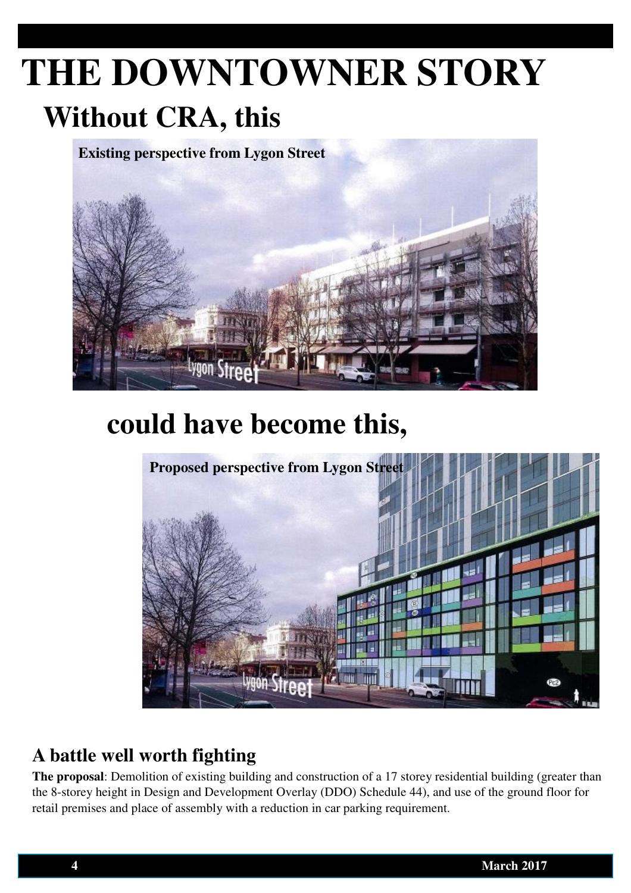# **THE DOWNTOWNER STORY Without CRA, this**

**Existing perspective from Lygon Street** 



# **could have become this,**



# **A battle well worth fighting**

**The proposal**: Demolition of existing building and construction of a 17 storey residential building (greater than the 8-storey height in Design and Development Overlay (DDO) Schedule 44), and use of the ground floor for retail premises and place of assembly with a reduction in car parking requirement.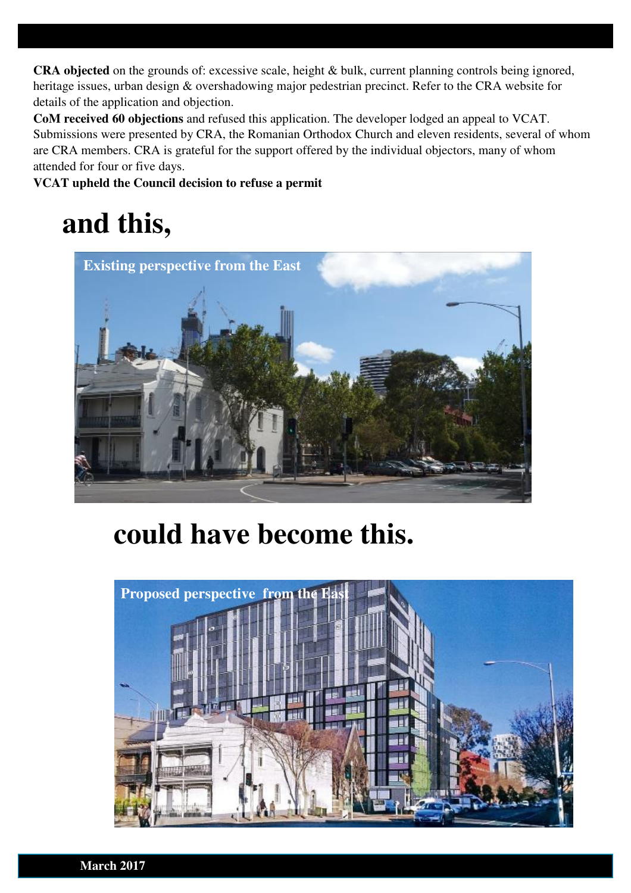**CRA objected** on the grounds of: excessive scale, height & bulk, current planning controls being ignored, heritage issues, urban design & overshadowing major pedestrian precinct. Refer to the CRA website for details of the application and objection.

**CoM received 60 objections** and refused this application. The developer lodged an appeal to VCAT. Submissions were presented by CRA, the Romanian Orthodox Church and eleven residents, several of whom are CRA members. CRA is grateful for the support offered by the individual objectors, many of whom attended for four or five days.

**VCAT upheld the Council decision to refuse a permit**

# **and this,**



# **could have become this.**

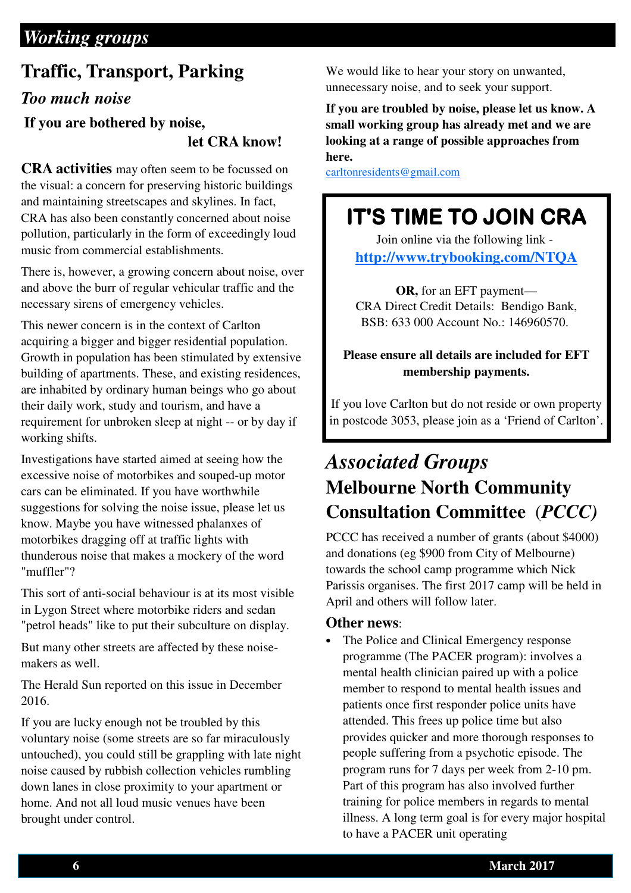# *Working groups*

## **Traffic, Transport, Parking**

### *Too much noise*

### **If you are bothered by noise, let CRA know!**

**CRA activities** may often seem to be focussed on the visual: a concern for preserving historic buildings and maintaining streetscapes and skylines. In fact, CRA has also been constantly concerned about noise pollution, particularly in the form of exceedingly loud music from commercial establishments.

There is, however, a growing concern about noise, over and above the burr of regular vehicular traffic and the necessary sirens of emergency vehicles.

This newer concern is in the context of Carlton acquiring a bigger and bigger residential population. Growth in population has been stimulated by extensive building of apartments. These, and existing residences, are inhabited by ordinary human beings who go about their daily work, study and tourism, and have a requirement for unbroken sleep at night -- or by day if working shifts.

Investigations have started aimed at seeing how the excessive noise of motorbikes and souped-up motor cars can be eliminated. If you have worthwhile suggestions for solving the noise issue, please let us know. Maybe you have witnessed phalanxes of motorbikes dragging off at traffic lights with thunderous noise that makes a mockery of the word "muffler"?

This sort of anti-social behaviour is at its most visible in Lygon Street where motorbike riders and sedan "petrol heads" like to put their subculture on display.

But many other streets are affected by these noisemakers as well.

The Herald Sun reported on this issue in December 2016.

If you are lucky enough not be troubled by this voluntary noise (some streets are so far miraculously untouched), you could still be grappling with late night noise caused by rubbish collection vehicles rumbling down lanes in close proximity to your apartment or home. And not all loud music venues have been brought under control.

We would like to hear your story on unwanted, unnecessary noise, and to seek your support.

**If you are troubled by noise, please let us know. A small working group has already met and we are looking at a range of possible approaches from here.** 

carltonresidents@gmail.com

# IT'S TIME TO JOIN CRA

Join online via the following link **http://www.trybooking.com/NTQA**

**OR,** for an EFT payment— CRA Direct Credit Details: Bendigo Bank, BSB: 633 000 Account No.: 146960570.

#### **Please ensure all details are included for EFT membership payments.**

If you love Carlton but do not reside or own property in postcode 3053, please join as a 'Friend of Carlton'.

# *Associated Groups*  **Melbourne North Community Consultation Committee** (*PCCC)*

PCCC has received a number of grants (about \$4000) and donations (eg \$900 from City of Melbourne) towards the school camp programme which Nick Parissis organises. The first 2017 camp will be held in April and others will follow later.

#### **Other news**:

The Police and Clinical Emergency response programme (The PACER program): involves a mental health clinician paired up with a police member to respond to mental health issues and patients once first responder police units have attended. This frees up police time but also provides quicker and more thorough responses to people suffering from a psychotic episode. The program runs for 7 days per week from 2-10 pm. Part of this program has also involved further training for police members in regards to mental illness. A long term goal is for every major hospital to have a PACER unit operating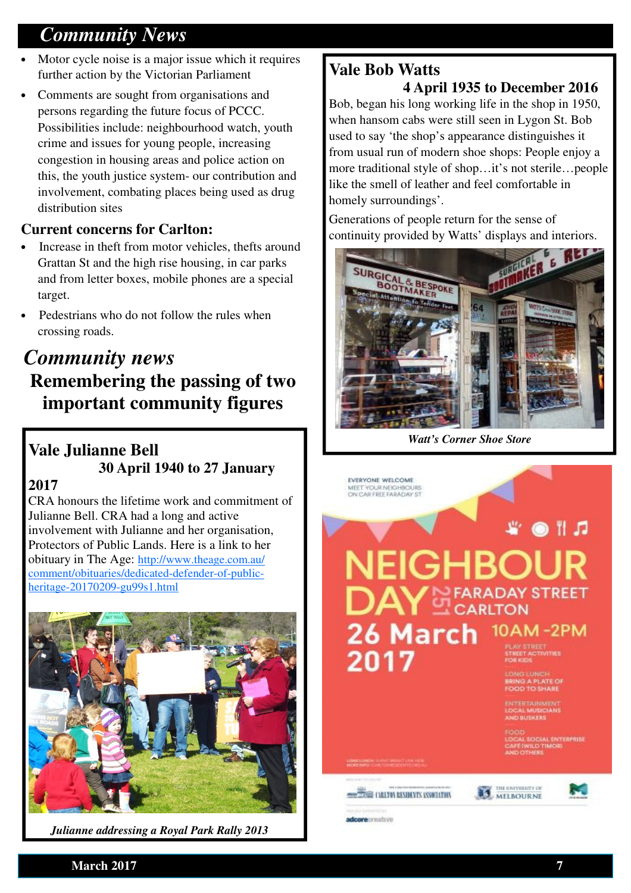# *Community News*

- Motor cycle noise is a major issue which it requires further action by the Victorian Parliament
- Comments are sought from organisations and persons regarding the future focus of PCCC. Possibilities include: neighbourhood watch, youth crime and issues for young people, increasing congestion in housing areas and police action on this, the youth justice system- our contribution and involvement, combating places being used as drug distribution sites

### **Current concerns for Carlton:**

- Increase in theft from motor vehicles, thefts around Grattan St and the high rise housing, in car parks and from letter boxes, mobile phones are a special target.
- Pedestrians who do not follow the rules when crossing roads.

# *Community news*  **Remembering the passing of two important community figures**

## **Vale Julianne Bell 30 April 1940 to 27 January**

### **2017**

CRA honours the lifetime work and commitment of Julianne Bell. CRA had a long and active involvement with Julianne and her organisation, Protectors of Public Lands. Here is a link to her obituary in The Age: http://www.theage.com.au/ comment/obituaries/dedicated-defender-of-publicheritage-20170209-gu99s1.html



*Julianne addressing a Royal Park Rally 2013* 

### **Vale Bob Watts 4 April 1935 to December 2016**

Bob, began his long working life in the shop in 1950, when hansom cabs were still seen in Lygon St. Bob used to say 'the shop's appearance distinguishes it from usual run of modern shoe shops: People enjoy a more traditional style of shop…it's not sterile…people like the smell of leather and feel comfortable in homely surroundings'.

Generations of people return for the sense of continuity provided by Watts' displays and interiors.



*Watt's Corner Shoe Store* 

EVERYONE WELCOME MEET YOUR NEIGHBOURS<br>ON CAR FREE FARADAY ST

@ 11 .D NEIGHBOl **RADAY STREET** 26 March 10AM-2PM 2017

CIAL ENTERPRISE<br>D'TIMORI

orecreative

**CONTRACTOR RESIDENTS ASSOCIATION** 



**March 2017** 7